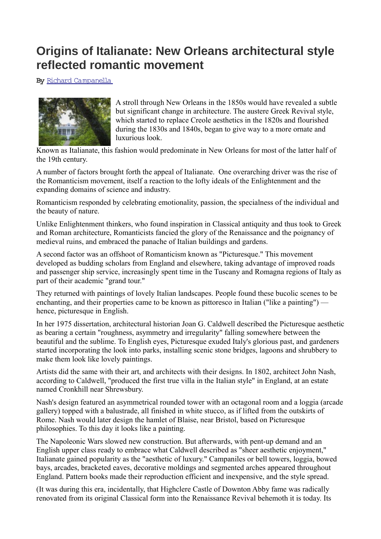## **[Origins of Italianate: New Orleans architectural style](http://email.mailinglist.wetheitalians.com/c/eJxlkMtqwzAQRb_G3slIsmRbCy8CIdCvCBNpEgv0CPIkaf--06a7wmzmzuUcmLBOMOulj6uWapKTHqWxszKDkmYxg7HOuUGa42E-6WNnZIaYYrmluNPwQtowEqQIZR98zf22Bu3lZCwq7wBGpy4XZ_0cRhUgLBIvfV6Vm8yixz6tG9G9Gw-dPvH8o3EWS8DP4b5x61TvFGvpxiOfzr4WwkKdnp4RXxxCo-gTchADr9pKOzG6tniLZRf1Kv7QQCgKvkRtCVkkoPktEnp6NEhip6-EouE1cYJBtJqhMFnk-sT8Nnqgt8NZNrBYbNiYfkOx1wdtXPkgzL8d6xSv4PNP3xi7nJW2fVvzY9-rgnjFsCO_FYiGgvQNpVOAxQ)  [reflected romantic movement](http://email.mailinglist.wetheitalians.com/c/eJxlkMtqwzAQRb_G3slIsmRbCy8CIdCvCBNpEgv0CPIkaf--06a7wmzmzuUcmLBOMOulj6uWapKTHqWxszKDkmYxg7HOuUGa42E-6WNnZIaYYrmluNPwQtowEqQIZR98zf22Bu3lZCwq7wBGpy4XZ_0cRhUgLBIvfV6Vm8yixz6tG9G9Gw-dPvH8o3EWS8DP4b5x61TvFGvpxiOfzr4WwkKdnp4RXxxCo-gTchADr9pKOzG6tniLZRf1Kv7QQCgKvkRtCVkkoPktEnp6NEhip6-EouE1cYJBtJqhMFnk-sT8Nnqgt8NZNrBYbNiYfkOx1wdtXPkgzL8d6xSv4PNP3xi7nJW2fVvzY9-rgnjFsCO_FYiGgvQNpVOAxQ)**

**By** [Richard Campanella](http://connect.nola.com/user/RichardCampanella/posts.html) 



A stroll through New Orleans in the 1850s would have revealed a subtle but significant change in architecture. The austere Greek Revival style, which started to replace Creole aesthetics in the 1820s and flourished during the 1830s and 1840s, began to give way to a more ornate and luxurious look.

Known as Italianate, this fashion would predominate in New Orleans for most of the latter half of the 19th century.

A number of factors brought forth the appeal of Italianate. One overarching driver was the rise of the Romanticism movement, itself a reaction to the lofty ideals of the Enlightenment and the expanding domains of science and industry.

Romanticism responded by celebrating emotionality, passion, the specialness of the individual and the beauty of nature.

Unlike Enlightenment thinkers, who found inspiration in Classical antiquity and thus took to Greek and Roman architecture, Romanticists fancied the glory of the Renaissance and the poignancy of medieval ruins, and embraced the panache of Italian buildings and gardens.

A second factor was an offshoot of Romanticism known as "Picturesque." This movement developed as budding scholars from England and elsewhere, taking advantage of improved roads and passenger ship service, increasingly spent time in the Tuscany and Romagna regions of Italy as part of their academic "grand tour."

They returned with paintings of lovely Italian landscapes. People found these bucolic scenes to be enchanting, and their properties came to be known as pittoresco in Italian ("like a painting") hence, picturesque in English.

In her 1975 dissertation, architectural historian Joan G. Caldwell described the Picturesque aesthetic as bearing a certain "roughness, asymmetry and irregularity" falling somewhere between the beautiful and the sublime. To English eyes, Picturesque exuded Italy's glorious past, and gardeners started incorporating the look into parks, installing scenic stone bridges, lagoons and shrubbery to make them look like lovely paintings.

Artists did the same with their art, and architects with their designs. In 1802, architect John Nash, according to Caldwell, "produced the first true villa in the Italian style" in England, at an estate named Cronkhill near Shrewsbury.

Nash's design featured an asymmetrical rounded tower with an octagonal room and a loggia (arcade gallery) topped with a balustrade, all finished in white stucco, as if lifted from the outskirts of Rome. Nash would later design the hamlet of Blaise, near Bristol, based on Picturesque philosophies. To this day it looks like a painting.

The Napoleonic Wars slowed new construction. But afterwards, with pent-up demand and an English upper class ready to embrace what Caldwell described as "sheer aesthetic enjoyment," Italianate gained popularity as the "aesthetic of luxury." Campaniles or bell towers, loggia, bowed bays, arcades, bracketed eaves, decorative moldings and segmented arches appeared throughout England. Pattern books made their reproduction efficient and inexpensive, and the style spread.

(It was during this era, incidentally, that Highclere Castle of Downton Abby fame was radically renovated from its original Classical form into the Renaissance Revival behemoth it is today. Its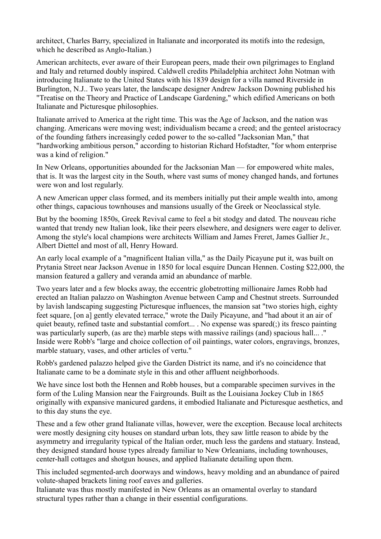architect, Charles Barry, specialized in Italianate and incorporated its motifs into the redesign, which he described as Anglo-Italian.)

American architects, ever aware of their European peers, made their own pilgrimages to England and Italy and returned doubly inspired. Caldwell credits Philadelphia architect John Notman with introducing Italianate to the United States with his 1839 design for a villa named Riverside in Burlington, N.J.. Two years later, the landscape designer Andrew Jackson Downing published his "Treatise on the Theory and Practice of Landscape Gardening," which edified Americans on both Italianate and Picturesque philosophies.

Italianate arrived to America at the right time. This was the Age of Jackson, and the nation was changing. Americans were moving west; individualism became a creed; and the genteel aristocracy of the founding fathers increasingly ceded power to the so-called "Jacksonian Man," that "hardworking ambitious person," according to historian Richard Hofstadter, "for whom enterprise was a kind of religion."

In New Orleans, opportunities abounded for the Jacksonian Man — for empowered white males, that is. It was the largest city in the South, where vast sums of money changed hands, and fortunes were won and lost regularly.

A new American upper class formed, and its members initially put their ample wealth into, among other things, capacious townhouses and mansions usually of the Greek or Neoclassical style.

But by the booming 1850s, Greek Revival came to feel a bit stodgy and dated. The nouveau riche wanted that trendy new Italian look, like their peers elsewhere, and designers were eager to deliver. Among the style's local champions were architects William and James Freret, James Gallier Jr., Albert Diettel and most of all, Henry Howard.

An early local example of a "magnificent Italian villa," as the Daily Picayune put it, was built on Prytania Street near Jackson Avenue in 1850 for local esquire Duncan Hennen. Costing \$22,000, the mansion featured a gallery and veranda amid an abundance of marble.

Two years later and a few blocks away, the eccentric globetrotting millionaire James Robb had erected an Italian palazzo on Washington Avenue between Camp and Chestnut streets. Surrounded by lavish landscaping suggesting Picturesque influences, the mansion sat "two stories high, eighty feet square, [on a] gently elevated terrace," wrote the Daily Picayune, and "had about it an air of quiet beauty, refined taste and substantial comfort... . No expense was spared(;) its fresco painting was particularly superb, (as are the) marble steps with massive railings (and) spacious hall... ." Inside were Robb's "large and choice collection of oil paintings, water colors, engravings, bronzes, marble statuary, vases, and other articles of vertu."

Robb's gardened palazzo helped give the Garden District its name, and it's no coincidence that Italianate came to be a dominate style in this and other affluent neighborhoods.

We have since lost both the Hennen and Robb houses, but a comparable specimen survives in the form of the Luling Mansion near the Fairgrounds. Built as the Louisiana Jockey Club in 1865 originally with expansive manicured gardens, it embodied Italianate and Picturesque aesthetics, and to this day stuns the eye.

These and a few other grand Italianate villas, however, were the exception. Because local architects were mostly designing city houses on standard urban lots, they saw little reason to abide by the asymmetry and irregularity typical of the Italian order, much less the gardens and statuary. Instead, they designed standard house types already familiar to New Orleanians, including townhouses, center-hall cottages and shotgun houses, and applied Italianate detailing upon them.

This included segmented-arch doorways and windows, heavy molding and an abundance of paired volute-shaped brackets lining roof eaves and galleries.

Italianate was thus mostly manifested in New Orleans as an ornamental overlay to standard structural types rather than a change in their essential configurations.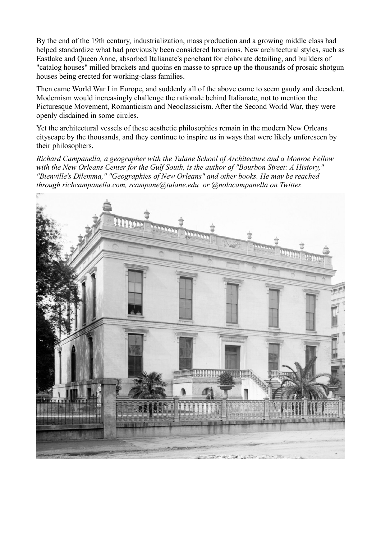By the end of the 19th century, industrialization, mass production and a growing middle class had helped standardize what had previously been considered luxurious. New architectural styles, such as Eastlake and Queen Anne, absorbed Italianate's penchant for elaborate detailing, and builders of "catalog houses" milled brackets and quoins en masse to spruce up the thousands of prosaic shotgun houses being erected for working-class families.

Then came World War I in Europe, and suddenly all of the above came to seem gaudy and decadent. Modernism would increasingly challenge the rationale behind Italianate, not to mention the Picturesque Movement, Romanticism and Neoclassicism. After the Second World War, they were openly disdained in some circles.

Yet the architectural vessels of these aesthetic philosophies remain in the modern New Orleans cityscape by the thousands, and they continue to inspire us in ways that were likely unforeseen by their philosophers.

*Richard Campanella, a geographer with the Tulane School of Architecture and a Monroe Fellow with the New Orleans Center for the Gulf South, is the author of "Bourbon Street: A History," "Bienville's Dilemma," "Geographies of New Orleans" and other books. He may be reached through richcampanella.com, rcampane@tulane.edu or @nolacampanella on Twitter.*

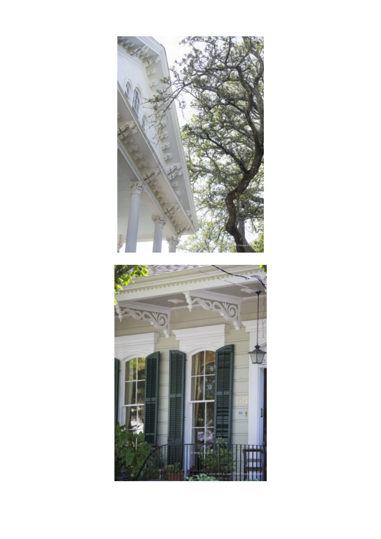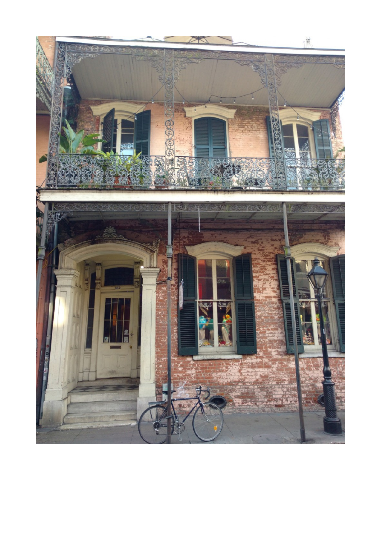